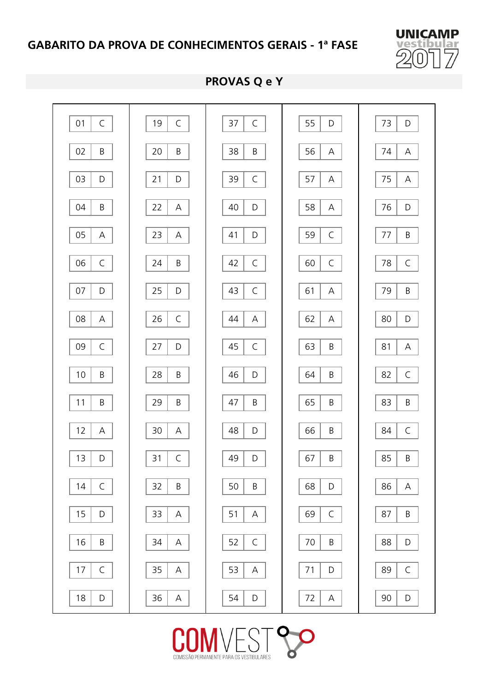

#### **PROVAS Q e Y**



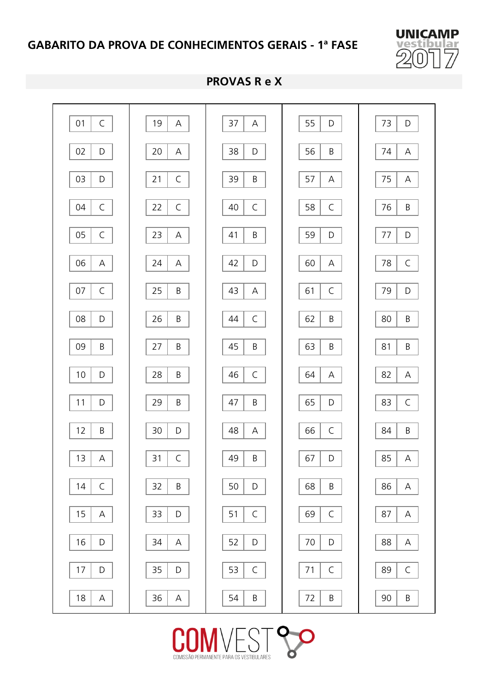

#### **PROVAS R e X**



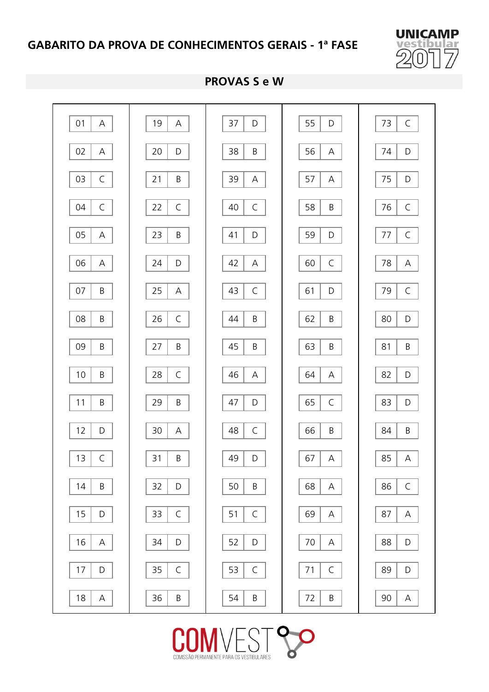

#### **PROVAS S e W**